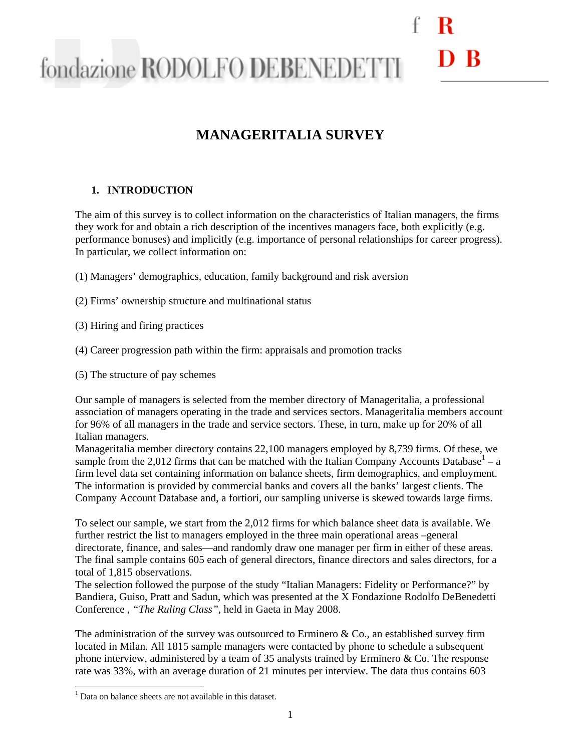### D R fondazione RODOLFO DEBENEDETTI

### **MANAGERITALIA SURVEY**

#### **1. INTRODUCTION**

The aim of this survey is to collect information on the characteristics of Italian managers, the firms they work for and obtain a rich description of the incentives managers face, both explicitly (e.g. performance bonuses) and implicitly (e.g. importance of personal relationships for career progress). In particular, we collect information on:

- (1) Managers' demographics, education, family background and risk aversion
- (2) Firms' ownership structure and multinational status
- (3) Hiring and firing practices
- (4) Career progression path within the firm: appraisals and promotion tracks
- (5) The structure of pay schemes

Our sample of managers is selected from the member directory of Manageritalia, a professional association of managers operating in the trade and services sectors. Manageritalia members account for 96% of all managers in the trade and service sectors. These, in turn, make up for 20% of all Italian managers.

Manageritalia member directory contains 22,100 managers employed by 8,739 firms. Of these, we sample from the 2,012 firms that can be matched with the Italian Company Accounts Database<sup>1</sup> – a firm level data set containing information on balance sheets, firm demographics, and employment. The information is provided by commercial banks and covers all the banks' largest clients. The Company Account Database and, a fortiori, our sampling universe is skewed towards large firms.

To select our sample, we start from the 2,012 firms for which balance sheet data is available. We further restrict the list to managers employed in the three main operational areas –general directorate, finance, and sales—and randomly draw one manager per firm in either of these areas. The final sample contains 605 each of general directors, finance directors and sales directors, for a total of 1,815 observations.

The selection followed the purpose of the study "Italian Managers: Fidelity or Performance?" by Bandiera, Guiso, Pratt and Sadun, which was presented at the X Fondazione Rodolfo DeBenedetti Conference , *"The Ruling Class"*, held in Gaeta in May 2008.

The administration of the survey was outsourced to Erminero  $\&$  Co., an established survey firm located in Milan. All 1815 sample managers were contacted by phone to schedule a subsequent phone interview, administered by a team of 35 analysts trained by Erminero & Co. The response rate was 33%, with an average duration of 21 minutes per interview. The data thus contains 603

 1 Data on balance sheets are not available in this dataset.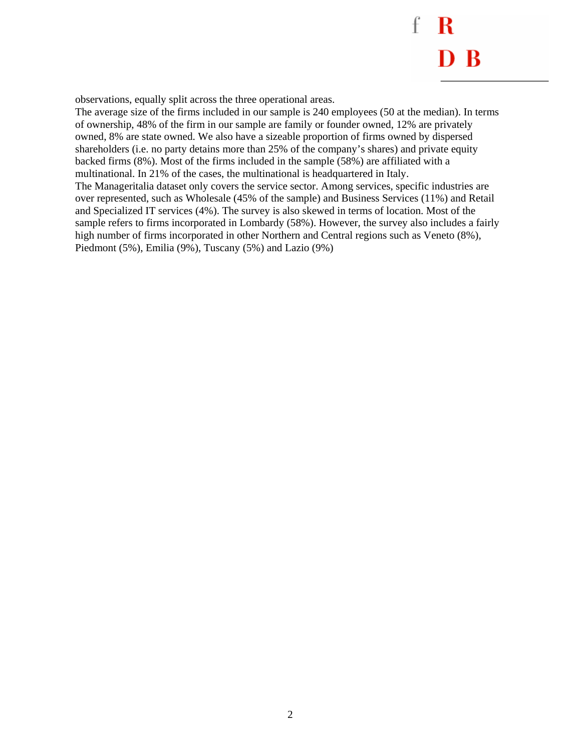f  $\mathbf R$  $D B$ 

observations, equally split across the three operational areas.

The average size of the firms included in our sample is 240 employees (50 at the median). In terms of ownership, 48% of the firm in our sample are family or founder owned, 12% are privately owned, 8% are state owned. We also have a sizeable proportion of firms owned by dispersed shareholders (i.e. no party detains more than 25% of the company's shares) and private equity backed firms (8%). Most of the firms included in the sample (58%) are affiliated with a multinational. In 21% of the cases, the multinational is headquartered in Italy. The Manageritalia dataset only covers the service sector. Among services, specific industries are over represented, such as Wholesale (45% of the sample) and Business Services (11%) and Retail and Specialized IT services (4%). The survey is also skewed in terms of location. Most of the sample refers to firms incorporated in Lombardy (58%). However, the survey also includes a fairly high number of firms incorporated in other Northern and Central regions such as Veneto (8%), Piedmont (5%), Emilia (9%), Tuscany (5%) and Lazio (9%)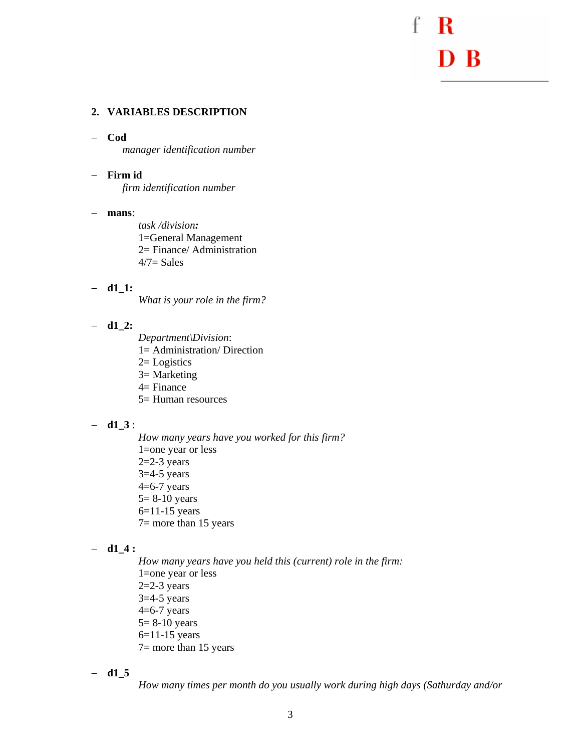D<sub>B</sub>

#### **2. VARIABLES DESCRIPTION**

#### − **Cod**

*manager identification number* 

#### − **Firm id**

*firm identification number* 

#### − **mans**:

*task /division:*  1=General Management 2= Finance/ Administration  $4/7$ = Sales

#### − **d1\_1:**

*What is your role in the firm?* 

#### − **d1\_2:**

*Department\Division*: 1= Administration/ Direction  $2=$  Logistics 3= Marketing 4= Finance 5= Human resources

#### − **d1\_3** :

*How many years have you worked for this firm?*  1=one year or less  $2=2-3$  years  $3=4-5$  years  $4=6-7$  years 5= 8-10 years 6=11-15 years 7= more than 15 years

#### − **d1\_4 :**

*How many years have you held this (current) role in the firm:*  1=one year or less  $2=2-3$  years  $3=4-5$  years  $4=6-7$  years 5= 8-10 years 6=11-15 years 7= more than 15 years

− **d1\_5** 

*How many times per month do you usually work during high days (Sathurday and/or*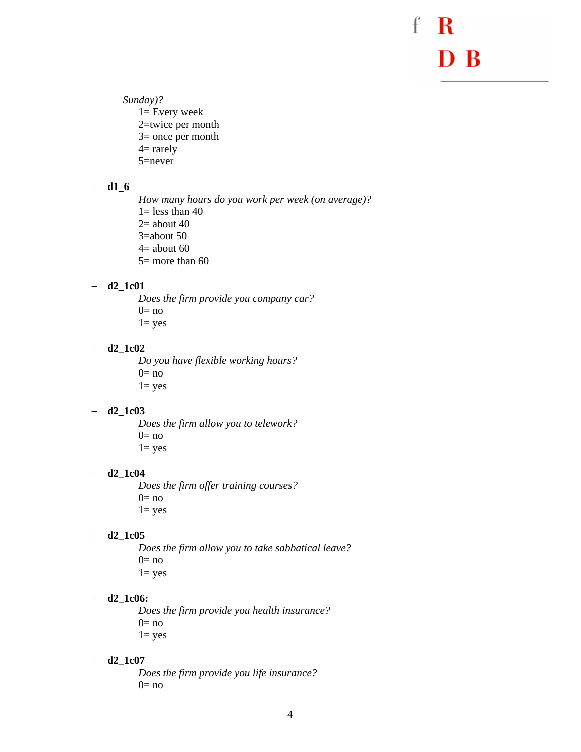f R D B

*Sunday)?*  1= Every week

2=twice per month 3= once per month  $4=$  rarely 5=never

#### − **d1\_6**

*How many hours do you work per week (on average)?*   $1=$  less than 40  $2=$  about 40 3=about 50  $4=$  about 60 5= more than 60

#### − **d2\_1c01**

*Does the firm provide you company car?*   $0=$  no  $1 = yes$ 

#### − **d2\_1c02**

*Do you have flexible working hours?*   $0=$  no  $1 = yes$ 

#### − **d2\_1c03**

*Does the firm allow you to telework?*   $0=$  no  $1 = yes$ 

#### − **d2\_1c04**

*Does the firm offer training courses?*   $0=$  no  $1 = yes$ 

#### − **d2\_1c05**

*Does the firm allow you to take sabbatical leave?*   $0=$  no  $1 = yes$ 

#### − **d2\_1c06:**

*Does the firm provide you health insurance?*   $0=$  no  $1 = yes$ 

#### − **d2\_1c07**

*Does the firm provide you life insurance?*   $0=$  no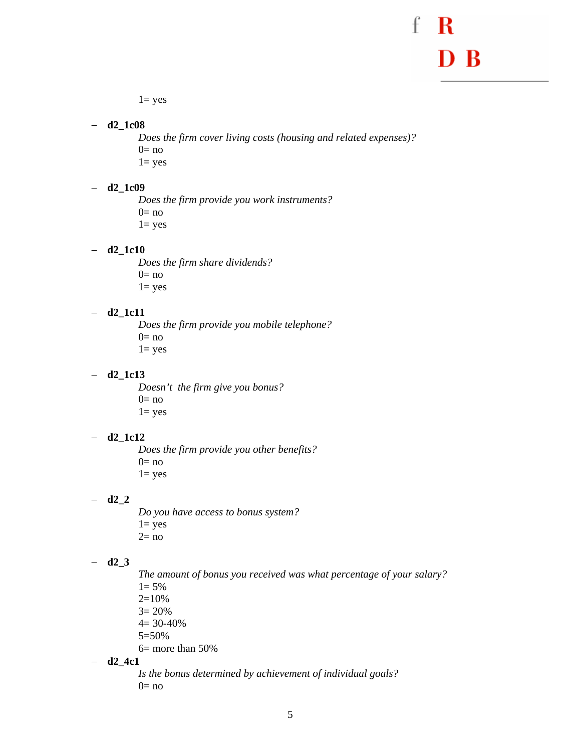### f D B

 $1 = yes$ 

− **d2\_1c08** 

*Does the firm cover living costs (housing and related expenses)?*   $0=$  no  $1 = yes$ 

− **d2\_1c09** 

*Does the firm provide you work instruments?*   $0=$  no  $1 = yes$ 

− **d2\_1c10** 

*Does the firm share dividends?*   $0=$  no  $1 = yes$ 

#### − **d2\_1c11**

*Does the firm provide you mobile telephone?*   $0=$  no  $1 = yes$ 

− **d2\_1c13** 

*Doesn't the firm give you bonus?*   $0=$  no  $1 = yes$ 

#### − **d2\_1c12**

*Does the firm provide you other benefits?*   $0=$  no  $1 = yes$ 

− **d2\_2** 

*Do you have access to bonus system?*   $1 = yes$  $2=$  no

#### − **d2\_3**

*The amount of bonus you received was what percentage of your salary?* 

- $1 = 5\%$
- $2=10%$
- $3 = 20%$
- $4= 30-40%$
- 5=50%
- 6= more than 50%
- − **d2\_4c1**

*Is the bonus determined by achievement of individual goals?*   $0=$  no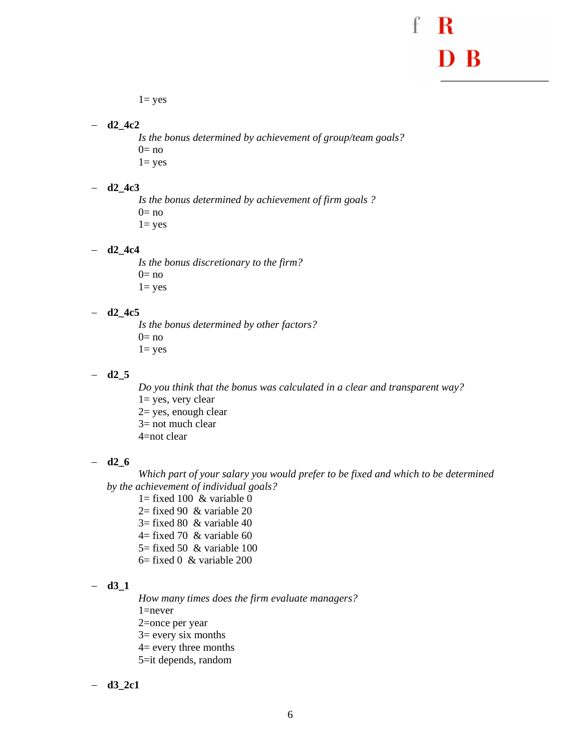$1 = yes$ 

− **d2\_4c2** 

*Is the bonus determined by achievement of group/team goals?*   $0=$  no  $1 = yes$ 

− **d2\_4c3** 

 *Is the bonus determined by achievement of firm goals ?*   $0=$  no  $1 = yes$ 

− **d2\_4c4** 

*Is the bonus discretionary to the firm?*   $0=$  no 1= yes

− **d2\_4c5** 

 *Is the bonus determined by other factors?*   $0=$  no  $1 = yes$ 

#### − **d2\_5**

*Do you think that the bonus was calculated in a clear and transparent way?*  1= yes, very clear 2= yes, enough clear  $3=$  not much clear 4=not clear

#### − **d2\_6**

*Which part of your salary you would prefer to be fixed and which to be determined by the achievement of individual goals?* 

 $1=$  fixed 100 & variable 0

- $2=$  fixed 90 & variable 20
- $3=$  fixed 80 & variable 40
- $4=$  fixed 70 & variable 60
- $5 =$  fixed 50 & variable 100
- $6=$  fixed 0 & variable 200

#### − **d3\_1**

*How many times does the firm evaluate managers?*  1=never 2=once per year 3= every six months 4= every three months 5=it depends, random

− **d3\_2c1**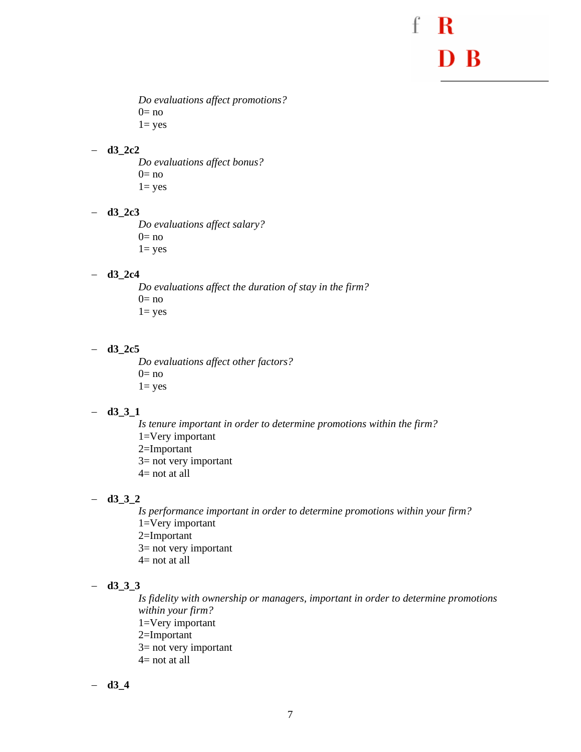D<sub>B</sub>

*Do evaluations affect promotions?*   $0=$  no  $1 = yes$ 

#### − **d3\_2c2**

*Do evaluations affect bonus?*   $0=$  no  $1 = yes$ 

#### − **d3\_2c3**

*Do evaluations affect salary?*   $0=$  no  $1 = yes$ 

#### − **d3\_2c4**

*Do evaluations affect the duration of stay in the firm?*   $0=$  no  $1 = yes$ 

#### − **d3\_2c5**

*Do evaluations affect other factors?*   $0=$  no  $1 = yes$ 

#### − **d3\_3\_1**

*Is tenure important in order to determine promotions within the firm?*  1=Very important 2=Important 3= not very important  $4=$  not at all

#### − **d3\_3\_2**

*Is performance important in order to determine promotions within your firm?*  1=Very important 2=Important 3= not very important  $4=$  not at all

#### − **d3\_3\_3**

*Is fidelity with ownership or managers, important in order to determine promotions within your firm?*  1=Very important 2=Important 3= not very important  $4=$  not at all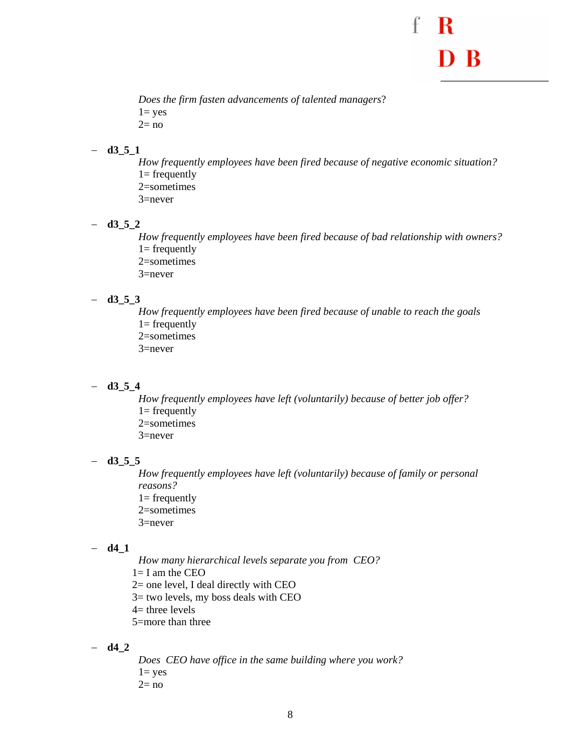

*Does the firm fasten advancements of talented managers*?  $1 = yes$  $2= no$ 

#### − **d3\_5\_1**

*How frequently employees have been fired because of negative economic situation?*   $1=$  frequently 2=sometimes 3=never

− **d3\_5\_2** 

*How frequently employees have been fired because of bad relationship with owners?*   $1=$  frequently 2=sometimes 3=never

#### − **d3\_5\_3**

*How frequently employees have been fired because of unable to reach the goals*   $1=$  frequently 2=sometimes 3=never

#### − **d3\_5\_4**

*How frequently employees have left (voluntarily) because of better job offer?*   $1=$  frequently 2=sometimes 3=never

#### − **d3\_5\_5**

*How frequently employees have left (voluntarily) because of family or personal reasons?*   $1=$  frequently 2=sometimes 3=never

#### − **d4\_1**

*How many hierarchical levels separate you from CEO?*   $1=$  I am the CEO 2= one level, I deal directly with CEO

3= two levels, my boss deals with CEO

 $4=$  three levels

5=more than three

#### − **d4\_2**

*Does CEO have office in the same building where you work?*   $1 = yes$  $2=$  no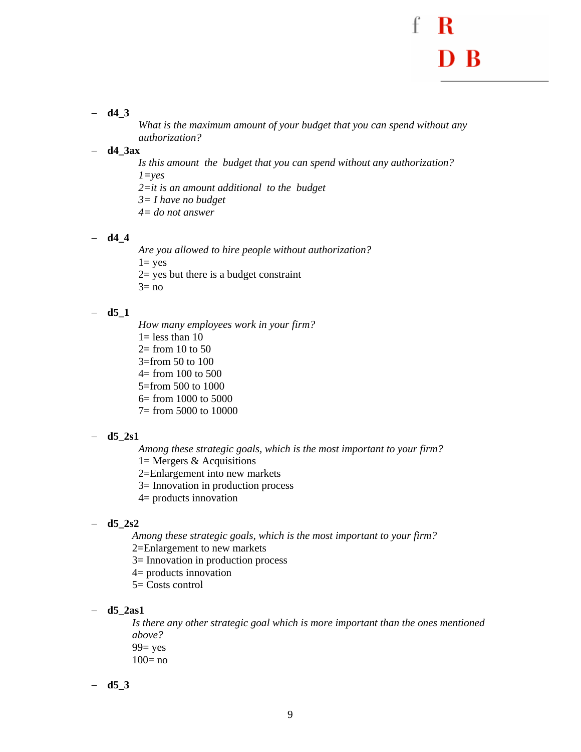#### − **d4\_3**

*What is the maximum amount of your budget that you can spend without any authorization?* 

#### − **d4\_3ax**

*Is this amount the budget that you can spend without any authorization? 1=yes 2=it is an amount additional to the budget* 

- *3= I have no budget*
- *4= do not answer*

#### − **d4\_4**

*Are you allowed to hire people without authorization?*   $1 = ves$  $2 =$  yes but there is a budget constraint

 $3=$  no

#### − **d5\_1**

*How many employees work in your firm?*   $1=$  less than 10  $2=$  from 10 to 50 3=from 50 to 100  $4=$  from 100 to 500 5=from 500 to 1000 6= from 1000 to 5000 7= from 5000 to 10000

#### − **d5\_2s1**

*Among these strategic goals, which is the most important to your firm?* 

- $1=$  Mergers & Acquisitions
- 2=Enlargement into new markets
- 3= Innovation in production process
- 4= products innovation

#### − **d5\_2s2**

*Among these strategic goals, which is the most important to your firm?* 

- 2=Enlargement to new markets
- 3= Innovation in production process
- 4= products innovation
- 5= Costs control
- − **d5\_2as1**

*Is there any other strategic goal which is more important than the ones mentioned above?*   $99 = yes$  $100=$  no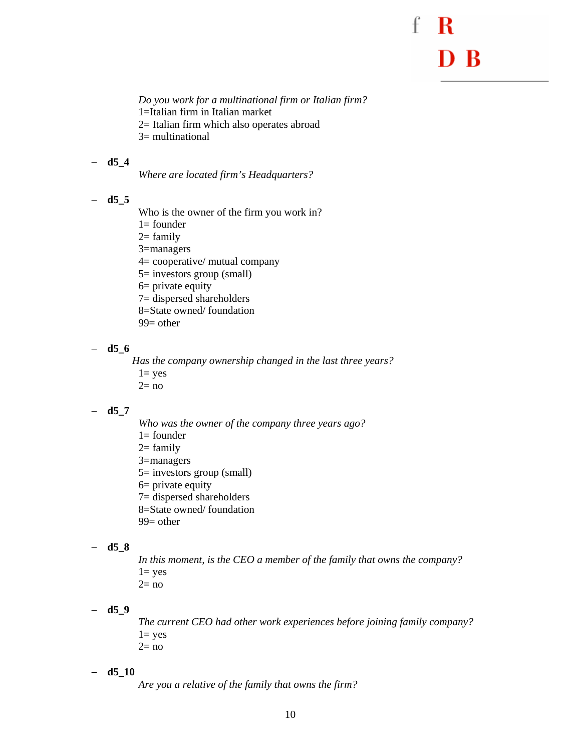*Do you work for a multinational firm or Italian firm?*  1=Italian firm in Italian market

2= Italian firm which also operates abroad

3= multinational

#### − **d5\_4**

*Where are located firm's Headquarters?* 

#### − **d5\_5**

Who is the owner of the firm you work in?

1= founder

 $2=$  family

3=managers

4= cooperative/ mutual company

5= investors group (small)

6= private equity

7= dispersed shareholders

8=State owned/ foundation

 $99$  = other

#### − **d5\_6**

*Has the company ownership changed in the last three years?*   $1 = yes$ 

 $2=$  no

#### − **d5\_7**

- *Who was the owner of the company three years ago?*
- $1=$  founder
- $2=$  family
- 3=managers

5= investors group (small)

- 6= private equity
- 7= dispersed shareholders
- 8=State owned/ foundation
- $99$  = other

#### − **d5\_8**

*In this moment, is the CEO a member of the family that owns the company?*   $1 = yes$  $2=$  no

− **d5\_9** 

*The current CEO had other work experiences before joining family company?*   $1 = yes$  $2=$  no

#### − **d5\_10**

*Are you a relative of the family that owns the firm?*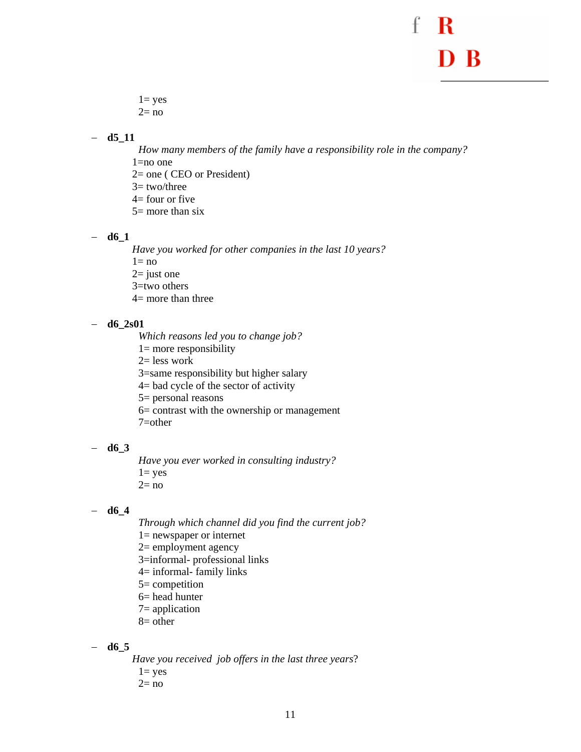$1 = yes$  $2=$  no

#### − **d5\_11**

*How many members of the family have a responsibility role in the company?*  1=no one 2= one ( CEO or President)  $3=$  two/three

- $4=$  four or five
- $5=$  more than six

− **d6\_1** 

*Have you worked for other companies in the last 10 years?* 

 $1=$  no

 $2=$  just one

3=two others

4= more than three

#### − **d6\_2s01**

*Which reasons led you to change job?* 

1= more responsibility

 $2=$  less work

3=same responsibility but higher salary

4= bad cycle of the sector of activity

5= personal reasons

6= contrast with the ownership or management

7=other

#### − **d6\_3**

*Have you ever worked in consulting industry?*   $1 = yes$  $2=$  no

#### − **d6\_4**

*Through which channel did you find the current job?* 

- 1= newspaper or internet
- 2= employment agency
- 3=informal- professional links
- 4= informal- family links
- 5= competition
- 6= head hunter
- 7= application
- 8= other

− **d6\_5** 

*Have you received job offers in the last three years*?  $1 = yes$ 

 $2=$  no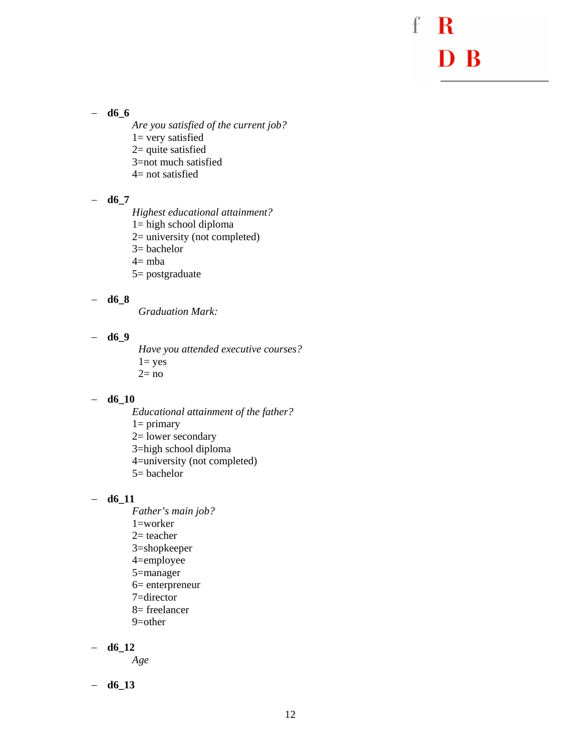f R D B

− **d6\_6** 

- *Are you satisfied of the current job?*
- $1=$  very satisfied
- 2= quite satisfied
- 3=not much satisfied
- $4=$  not satisfied

#### − **d6\_7**

*Highest educational attainment?* 

- 1= high school diploma
- 2= university (not completed)
- 3= bachelor
- $4=$ mba
- 5= postgraduate

#### − **d6\_8**

*Graduation Mark:* 

#### − **d6\_9**

*Have you attended executive courses?*   $1 = yes$  $2=$  no

#### − **d6\_10**

*Educational attainment of the father?*   $1=$  primary 2= lower secondary 3=high school diploma 4=university (not completed) 5= bachelor

#### − **d6\_11**

*Father's main job?*  1=worker  $2=$  teacher 3=shopkeeper 4=employee 5=manager 6= enterpreneur 7=director 8= freelancer 9=other

− **d6\_12** 

*Age* 

− **d6\_13**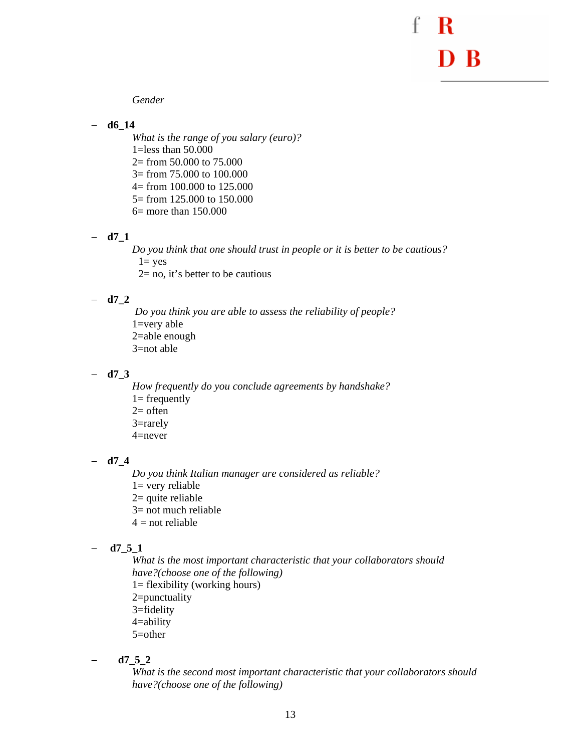*Gender* 

#### − **d6\_14**

*What is the range of you salary (euro)?*  1=less than  $50.000$ 2= from 50.000 to 75.000 3= from 75.000 to 100.000 4= from 100.000 to 125.000 5= from 125.000 to 150.000 6= more than 150.000

− **d7\_1** 

*Do you think that one should trust in people or it is better to be cautious?*   $1 = yes$  $2=$  no, it's better to be cautious

#### − **d7\_2**

*Do you think you are able to assess the reliability of people?*  1=very able 2=able enough 3=not able

#### − **d7\_3**

*How frequently do you conclude agreements by handshake?*   $1=$  frequently  $2=$  often 3=rarely 4=never

#### − **d7\_4**

*Do you think Italian manager are considered as reliable?* 

- $1=$  very reliable
- $2=$  quite reliable
- 3= not much reliable
- $4 = not$  reliable

#### − **d7\_5\_1**

*What is the most important characteristic that your collaborators should have?(choose one of the following)* 

- $1=$  flexibility (working hours)
- 2=punctuality
- 3=fidelity
- 4=ability
- 5=other

− **d7\_5\_2** 

*What is the second most important characteristic that your collaborators should have?(choose one of the following)*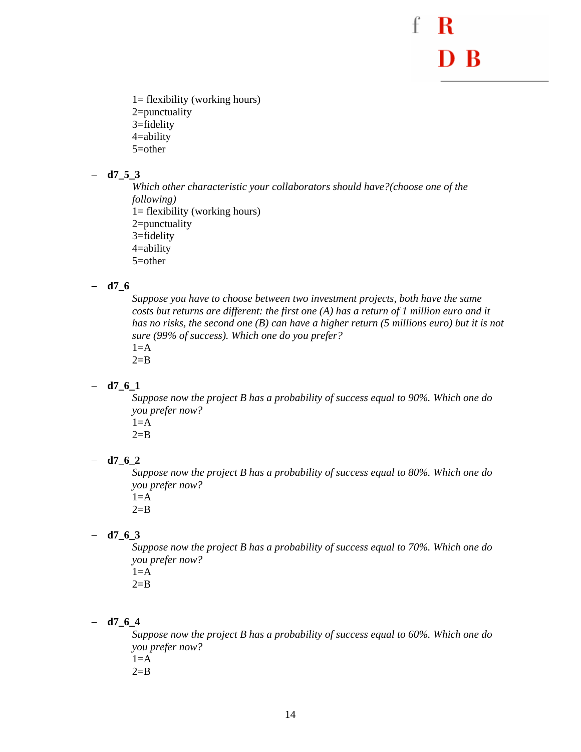1= flexibility (working hours) 2=punctuality 3=fidelity 4=ability 5=other

#### − **d7\_5\_3**

*Which other characteristic your collaborators should have?(choose one of the following)*  1= flexibility (working hours) 2=punctuality 3=fidelity 4=ability 5=other

#### − **d7\_6**

*Suppose you have to choose between two investment projects, both have the same costs but returns are different: the first one (A) has a return of 1 million euro and it has no risks, the second one (B) can have a higher return (5 millions euro) but it is not sure (99% of success). Which one do you prefer?*   $1=$  $A$ 

 $2 = B$ 

#### − **d7\_6\_1**

*Suppose now the project B has a probability of success equal to 90%. Which one do you prefer now?* 

 $1=$  $A$ 

 $2 = B$ 

#### − **d7\_6\_2**

*Suppose now the project B has a probability of success equal to 80%. Which one do you prefer now?* 

 $1=$ A  $2 = B$ 

#### − **d7\_6\_3**

*Suppose now the project B has a probability of success equal to 70%. Which one do you prefer now?* 

 $1=$ A

 $2=$ B

#### − **d7\_6\_4**

*Suppose now the project B has a probability of success equal to 60%. Which one do you prefer now?*   $1=$  $A$  $2 = B$